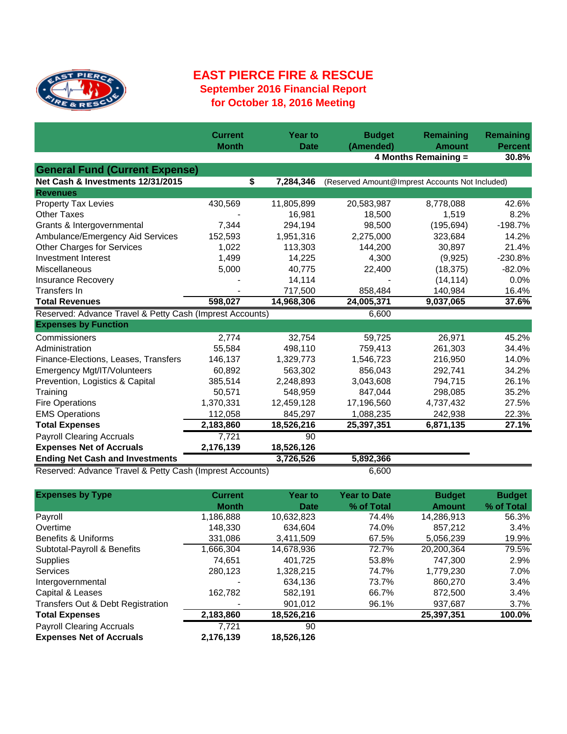

## **EAST PIERCE FIRE & RESCUE September 2016 Financial Report for October 18, 2016 Meeting**

|                                                          | <b>Current</b> | <b>Year to</b>  | <b>Budget</b> | Remaining                                          | Remaining<br><b>Percent</b> |
|----------------------------------------------------------|----------------|-----------------|---------------|----------------------------------------------------|-----------------------------|
|                                                          | <b>Month</b>   | <b>Date</b>     |               | (Amended)<br><b>Amount</b><br>4 Months Remaining = |                             |
|                                                          |                |                 |               |                                                    | 30.8%                       |
| <b>General Fund (Current Expense)</b>                    |                |                 |               |                                                    |                             |
| Net Cash & Investments 12/31/2015                        |                | \$<br>7,284,346 |               | (Reserved Amount@Imprest Accounts Not Included)    |                             |
| <b>Revenues</b>                                          |                |                 |               |                                                    |                             |
| <b>Property Tax Levies</b>                               | 430,569        | 11,805,899      | 20,583,987    | 8,778,088                                          | 42.6%                       |
| <b>Other Taxes</b>                                       |                | 16,981          | 18,500        | 1,519                                              | 8.2%                        |
| Grants & Intergovernmental                               | 7,344          | 294,194         | 98,500        | (195, 694)                                         | $-198.7%$                   |
| Ambulance/Emergency Aid Services                         | 152,593        | 1,951,316       | 2,275,000     | 323,684                                            | 14.2%                       |
| Other Charges for Services                               | 1,022          | 113,303         | 144,200       | 30,897                                             | 21.4%                       |
| Investment Interest                                      | 1,499          | 14,225          | 4,300         | (9,925)                                            | $-230.8%$                   |
| Miscellaneous                                            | 5,000          | 40,775          | 22,400        | (18, 375)                                          | $-82.0%$                    |
| <b>Insurance Recovery</b>                                |                | 14,114          |               | (14, 114)                                          | 0.0%                        |
| Transfers In                                             |                | 717,500         | 858,484       | 140,984                                            | 16.4%                       |
| <b>Total Revenues</b>                                    | 598,027        | 14,968,306      | 24,005,371    | 9,037,065                                          | 37.6%                       |
| Reserved: Advance Travel & Petty Cash (Imprest Accounts) |                |                 | 6,600         |                                                    |                             |
| <b>Expenses by Function</b>                              |                |                 |               |                                                    |                             |
| Commissioners                                            | 2,774          | 32,754          | 59,725        | 26,971                                             | 45.2%                       |
| Administration                                           | 55,584         | 498,110         | 759,413       | 261,303                                            | 34.4%                       |
| Finance-Elections, Leases, Transfers                     | 146,137        | 1,329,773       | 1,546,723     | 216,950                                            | 14.0%                       |
| Emergency Mgt/IT/Volunteers                              | 60,892         | 563,302         | 856,043       | 292,741                                            | 34.2%                       |
| Prevention, Logistics & Capital                          | 385,514        | 2,248,893       | 3,043,608     | 794,715                                            | 26.1%                       |
| Training                                                 | 50,571         | 548,959         | 847,044       | 298,085                                            | 35.2%                       |
| <b>Fire Operations</b>                                   | 1,370,331      | 12,459,128      | 17,196,560    | 4,737,432                                          | 27.5%                       |
| <b>EMS Operations</b>                                    | 112,058        | 845,297         | 1,088,235     | 242,938                                            | 22.3%                       |
| <b>Total Expenses</b>                                    | 2,183,860      | 18,526,216      | 25,397,351    | 6,871,135                                          | 27.1%                       |
| <b>Payroll Clearing Accruals</b>                         | 7,721          | 90              |               |                                                    |                             |
| <b>Expenses Net of Accruals</b>                          | 2,176,139      | 18,526,126      |               |                                                    |                             |
| <b>Ending Net Cash and Investments</b>                   |                | 3,726,526       | 5,892,366     |                                                    |                             |
| Reserved: Advance Travel & Petty Cash (Imprest Accounts) |                |                 | 6,600         |                                                    |                             |

| <b>Expenses by Type</b>           | <b>Current</b> | <b>Year to</b> | <b>Year to Date</b> | <b>Budget</b> | <b>Budget</b> |
|-----------------------------------|----------------|----------------|---------------------|---------------|---------------|
|                                   | <b>Month</b>   | Date           | % of Total          | <b>Amount</b> | % of Total    |
| Payroll                           | 1,186,888      | 10,632,823     | 74.4%               | 14,286,913    | 56.3%         |
| Overtime                          | 148.330        | 634.604        | 74.0%               | 857.212       | 3.4%          |
| Benefits & Uniforms               | 331,086        | 3,411,509      | 67.5%               | 5,056,239     | 19.9%         |
| Subtotal-Payroll & Benefits       | 1,666,304      | 14,678,936     | 72.7%               | 20,200,364    | 79.5%         |
| <b>Supplies</b>                   | 74.651         | 401.725        | 53.8%               | 747.300       | 2.9%          |
| <b>Services</b>                   | 280,123        | 1,328,215      | 74.7%               | 1,779,230     | 7.0%          |
| Intergovernmental                 |                | 634,136        | 73.7%               | 860,270       | 3.4%          |
| Capital & Leases                  | 162,782        | 582.191        | 66.7%               | 872,500       | 3.4%          |
| Transfers Out & Debt Registration |                | 901,012        | 96.1%               | 937,687       | 3.7%          |
| <b>Total Expenses</b>             | 2,183,860      | 18,526,216     |                     | 25,397,351    | 100.0%        |
| <b>Payroll Clearing Accruals</b>  | 7.721          | 90             |                     |               |               |
| <b>Expenses Net of Accruals</b>   | 2,176,139      | 18,526,126     |                     |               |               |